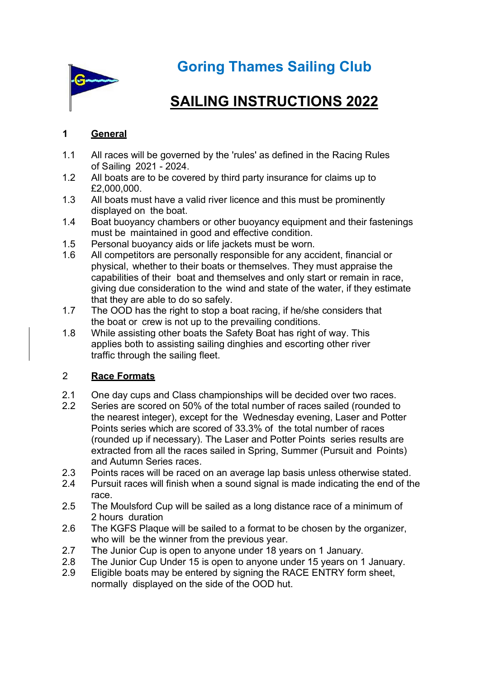

Goring Thames Sailing Club

# SAILING INSTRUCTIONS 2022

# 1 General

- 1.1 All races will be governed by the 'rules' as defined in the Racing Rules of Sailing 2021 - 2024.
- 1.2 All boats are to be covered by third party insurance for claims up to £2,000,000.
- 1.3 All boats must have a valid river licence and this must be prominently displayed on the boat.
- 1.4 Boat buoyancy chambers or other buoyancy equipment and their fastenings must be maintained in good and effective condition.
- 1.5 Personal buoyancy aids or life jackets must be worn.
- 1.6 All competitors are personally responsible for any accident, financial or physical, whether to their boats or themselves. They must appraise the capabilities of their boat and themselves and only start or remain in race, giving due consideration to the wind and state of the water, if they estimate that they are able to do so safely.
- 1.7 The OOD has the right to stop a boat racing, if he/she considers that the boat or crew is not up to the prevailing conditions.
- 1.8 While assisting other boats the Safety Boat has right of way. This applies both to assisting sailing dinghies and escorting other river traffic through the sailing fleet.

## 2 Race Formats

- 2.1 One day cups and Class championships will be decided over two races.
- 2.2 Series are scored on 50% of the total number of races sailed (rounded to the nearest integer), except for the Wednesday evening, Laser and Potter Points series which are scored of 33.3% of the total number of races (rounded up if necessary). The Laser and Potter Points series results are extracted from all the races sailed in Spring, Summer (Pursuit and Points) and Autumn Series races.
- 2.3 Points races will be raced on an average lap basis unless otherwise stated.
- 2.4 Pursuit races will finish when a sound signal is made indicating the end of the race.
- 2.5 The Moulsford Cup will be sailed as a long distance race of a minimum of 2 hours duration
- 2.6 The KGFS Plaque will be sailed to a format to be chosen by the organizer, who will be the winner from the previous year.
- 2.7 The Junior Cup is open to anyone under 18 years on 1 January.
- 2.8 The Junior Cup Under 15 is open to anyone under 15 years on 1 January.
- 2.9 Eligible boats may be entered by signing the RACE ENTRY form sheet, normally displayed on the side of the OOD hut.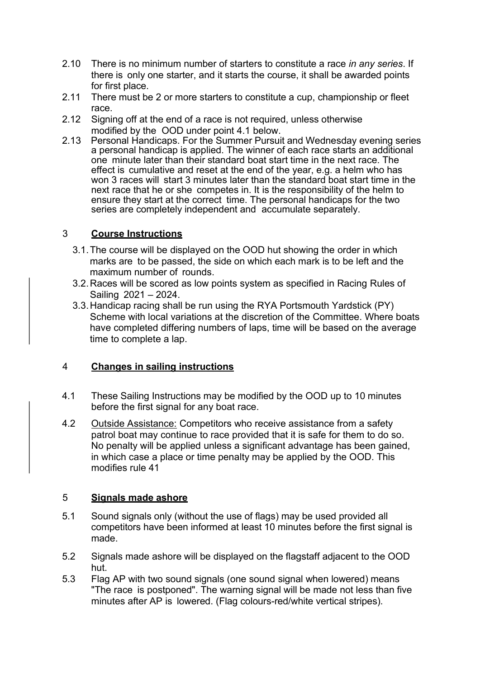- 2.10 There is no minimum number of starters to constitute a race in any series. If there is only one starter, and it starts the course, it shall be awarded points for first place.
- 2.11 There must be 2 or more starters to constitute a cup, championship or fleet race.
- 2.12 Signing off at the end of a race is not required, unless otherwise modified by the OOD under point 4.1 below.
- 2.13 Personal Handicaps. For the Summer Pursuit and Wednesday evening series a personal handicap is applied. The winner of each race starts an additional one minute later than their standard boat start time in the next race. The effect is cumulative and reset at the end of the year, e.g. a helm who has won 3 races will start 3 minutes later than the standard boat start time in the next race that he or she competes in. It is the responsibility of the helm to ensure they start at the correct time. The personal handicaps for the two series are completely independent and accumulate separately.

## 3 Course Instructions

- 3.1. The course will be displayed on the OOD hut showing the order in which marks are to be passed, the side on which each mark is to be left and the maximum number of rounds.
- 3.2. Races will be scored as low points system as specified in Racing Rules of Sailing 2021 – 2024.
- 3.3. Handicap racing shall be run using the RYA Portsmouth Yardstick (PY) Scheme with local variations at the discretion of the Committee. Where boats have completed differing numbers of laps, time will be based on the average time to complete a lap.

#### 4 Changes in sailing instructions

- 4.1 These Sailing Instructions may be modified by the OOD up to 10 minutes before the first signal for any boat race.
- 4.2 Outside Assistance: Competitors who receive assistance from a safety patrol boat may continue to race provided that it is safe for them to do so. No penalty will be applied unless a significant advantage has been gained, in which case a place or time penalty may be applied by the OOD. This modifies rule 41

#### 5 Signals made ashore

- 5.1 Sound signals only (without the use of flags) may be used provided all competitors have been informed at least 10 minutes before the first signal is made.
- 5.2 Signals made ashore will be displayed on the flagstaff adjacent to the OOD hut.
- 5.3 Flag AP with two sound signals (one sound signal when lowered) means "The race is postponed". The warning signal will be made not less than five minutes after AP is lowered. (Flag colours-red/white vertical stripes).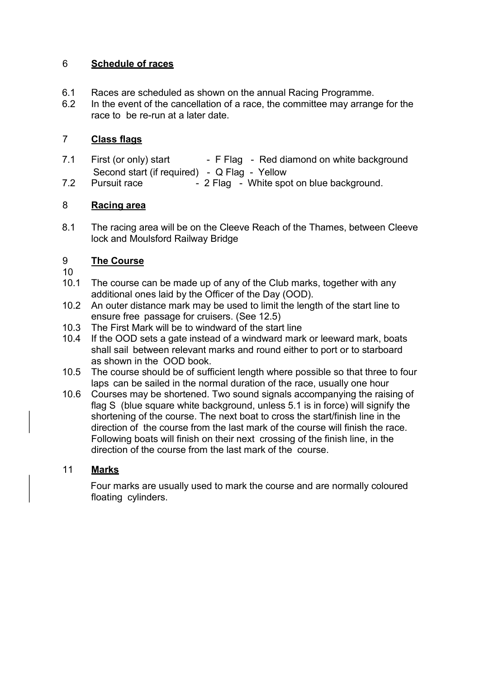## 6 Schedule of races

- 6.1 Races are scheduled as shown on the annual Racing Programme.
- 6.2 In the event of the cancellation of a race, the committee may arrange for the race to be re-run at a later date.

## 7 Class flags

7.1 First (or only) start - F Flag - Red diamond on white background Second start (if required) - Q Flag - Yellow 7.2 Pursuit race - 2 Flag - White spot on blue background.

## 8 Racing area

8.1 The racing area will be on the Cleeve Reach of the Thames, between Cleeve lock and Moulsford Railway Bridge

# 9 The Course

- 10
- 10.1 The course can be made up of any of the Club marks, together with any additional ones laid by the Officer of the Day (OOD).
- 10.2 An outer distance mark may be used to limit the length of the start line to ensure free passage for cruisers. (See 12.5)
- 10.3 The First Mark will be to windward of the start line
- 10.4 If the OOD sets a gate instead of a windward mark or leeward mark, boats shall sail between relevant marks and round either to port or to starboard as shown in the OOD book.
- 10.5 The course should be of sufficient length where possible so that three to four laps can be sailed in the normal duration of the race, usually one hour
- 10.6 Courses may be shortened. Two sound signals accompanying the raising of flag S (blue square white background, unless 5.1 is in force) will signify the shortening of the course. The next boat to cross the start/finish line in the direction of the course from the last mark of the course will finish the race. Following boats will finish on their next crossing of the finish line, in the direction of the course from the last mark of the course.

# 11 Marks

Four marks are usually used to mark the course and are normally coloured floating cylinders.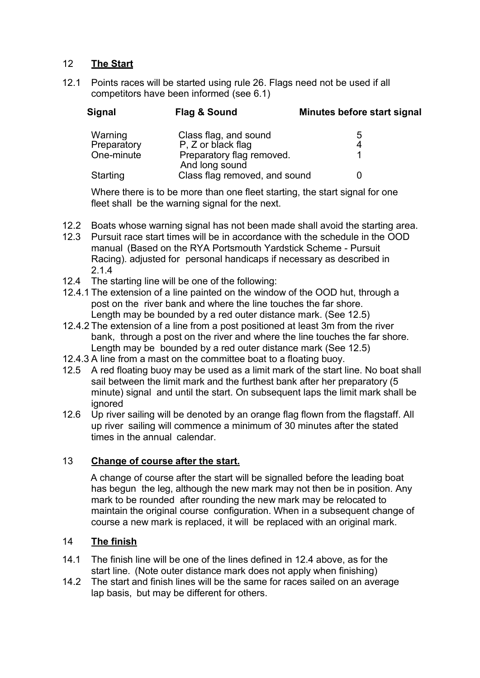## 12 The Start

12.1 Points races will be started using rule 26. Flags need not be used if all competitors have been informed (see 6.1)

| Signal      | Flag & Sound                                | Minutes before start signal |
|-------------|---------------------------------------------|-----------------------------|
| Warning     | Class flag, and sound                       | 5                           |
| Preparatory | P. Z or black flag                          | 4                           |
| One-minute  | Preparatory flag removed.<br>And long sound |                             |
| Starting    | Class flag removed, and sound               |                             |

Where there is to be more than one fleet starting, the start signal for one fleet shall be the warning signal for the next.

- 12.2 Boats whose warning signal has not been made shall avoid the starting area.
- 12.3 Pursuit race start times will be in accordance with the schedule in the OOD manual (Based on the RYA Portsmouth Yardstick Scheme - Pursuit Racing). adjusted for personal handicaps if necessary as described in 2.1.4
- 12.4 The starting line will be one of the following:
- 12.4.1 The extension of a line painted on the window of the OOD hut, through a post on the river bank and where the line touches the far shore. Length may be bounded by a red outer distance mark. (See 12.5)
- 12.4.2 The extension of a line from a post positioned at least 3m from the river bank, through a post on the river and where the line touches the far shore. Length may be bounded by a red outer distance mark (See 12.5)
- 12.4.3 A line from a mast on the committee boat to a floating buoy.
- 12.5 A red floating buoy may be used as a limit mark of the start line. No boat shall sail between the limit mark and the furthest bank after her preparatory (5 minute) signal and until the start. On subsequent laps the limit mark shall be ignored
- 12.6 Up river sailing will be denoted by an orange flag flown from the flagstaff. All up river sailing will commence a minimum of 30 minutes after the stated times in the annual calendar.

#### 13 Change of course after the start.

A change of course after the start will be signalled before the leading boat has begun the leg, although the new mark may not then be in position. Any mark to be rounded after rounding the new mark may be relocated to maintain the original course configuration. When in a subsequent change of course a new mark is replaced, it will be replaced with an original mark.

#### 14 The finish

- 14.1 The finish line will be one of the lines defined in 12.4 above, as for the start line. (Note outer distance mark does not apply when finishing)
- 14.2 The start and finish lines will be the same for races sailed on an average lap basis, but may be different for others.